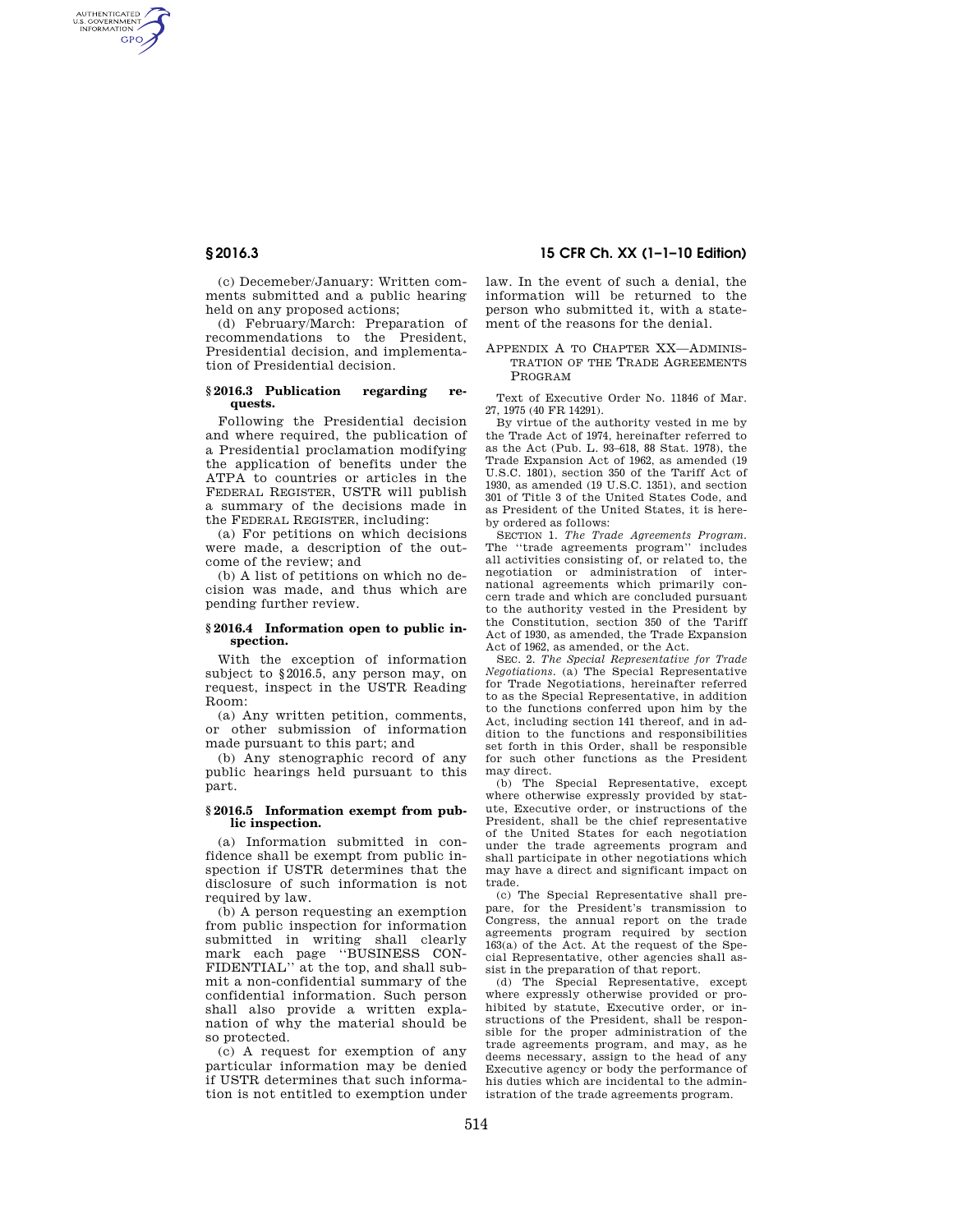AUTHENTICATED<br>U.S. GOVERNMENT<br>INFORMATION **GPO** 

> (c) Decemeber/January: Written comments submitted and a public hearing held on any proposed actions;

> (d) February/March: Preparation of recommendations to the President, Presidential decision, and implementation of Presidential decision.

#### **§ 2016.3 Publication regarding requests.**

Following the Presidential decision and where required, the publication of a Presidential proclamation modifying the application of benefits under the ATPA to countries or articles in the FEDERAL REGISTER, USTR will publish a summary of the decisions made in the FEDERAL REGISTER, including:

(a) For petitions on which decisions were made, a description of the outcome of the review; and

(b) A list of petitions on which no decision was made, and thus which are pending further review.

## **§ 2016.4 Information open to public inspection.**

With the exception of information subject to §2016.5, any person may, on request, inspect in the USTR Reading Room:

(a) Any written petition, comments, or other submission of information made pursuant to this part; and

(b) Any stenographic record of any public hearings held pursuant to this part.

### **§ 2016.5 Information exempt from public inspection.**

(a) Information submitted in confidence shall be exempt from public inspection if USTR determines that the disclosure of such information is not required by law.

(b) A person requesting an exemption from public inspection for information submitted in writing shall clearly mark each page ''BUSINESS CON-FIDENTIAL'' at the top, and shall submit a non-confidential summary of the confidential information. Such person shall also provide a written explanation of why the material should be so protected.

(c) A request for exemption of any particular information may be denied if USTR determines that such information is not entitled to exemption under

**§ 2016.3 15 CFR Ch. XX (1–1–10 Edition)** 

law. In the event of such a denial, the information will be returned to the person who submitted it, with a statement of the reasons for the denial.

### APPENDIX A TO CHAPTER XX—ADMINIS-TRATION OF THE TRADE AGREEMENTS PROGRAM

Text of Executive Order No. 11846 of Mar. 27, 1975 (40 FR 14291).

By virtue of the authority vested in me by the Trade Act of 1974, hereinafter referred to as the Act (Pub. L. 93–618, 88 Stat. 1978), the Trade Expansion Act of 1962, as amended (19 U.S.C. 1801), section 350 of the Tariff Act of 1930, as amended (19 U.S.C. 1351), and section 301 of Title 3 of the United States Code, and as President of the United States, it is hereby ordered as follows:

SECTION 1. *The Trade Agreements Program.*  The ''trade agreements program'' includes all activities consisting of, or related to, the negotiation or administration of international agreements which primarily concern trade and which are concluded pursuant to the authority vested in the President by the Constitution, section 350 of the Tariff Act of 1930, as amended, the Trade Expansion Act of 1962, as amended, or the Act.

SEC. 2. *The Special Representative for Trade Negotiations.* (a) The Special Representative for Trade Negotiations, hereinafter referred to as the Special Representative, in addition to the functions conferred upon him by the Act, including section 141 thereof, and in addition to the functions and responsibilities set forth in this Order, shall be responsible for such other functions as the President may direct.

(b) The Special Representative, except where otherwise expressly provided by statute, Executive order, or instructions of the President, shall be the chief representative of the United States for each negotiation under the trade agreements program and shall participate in other negotiations which may have a direct and significant impact on trade.

(c) The Special Representative shall prepare, for the President's transmission to Congress, the annual report on the trade agreements program required by section 163(a) of the Act. At the request of the Special Representative, other agencies shall assist in the preparation of that report.

(d) The Special Representative, except where expressly otherwise provided or prohibited by statute, Executive order, or instructions of the President, shall be responsible for the proper administration of the trade agreements program, and may, as he deems necessary, assign to the head of any Executive agency or body the performance of his duties which are incidental to the administration of the trade agreements program.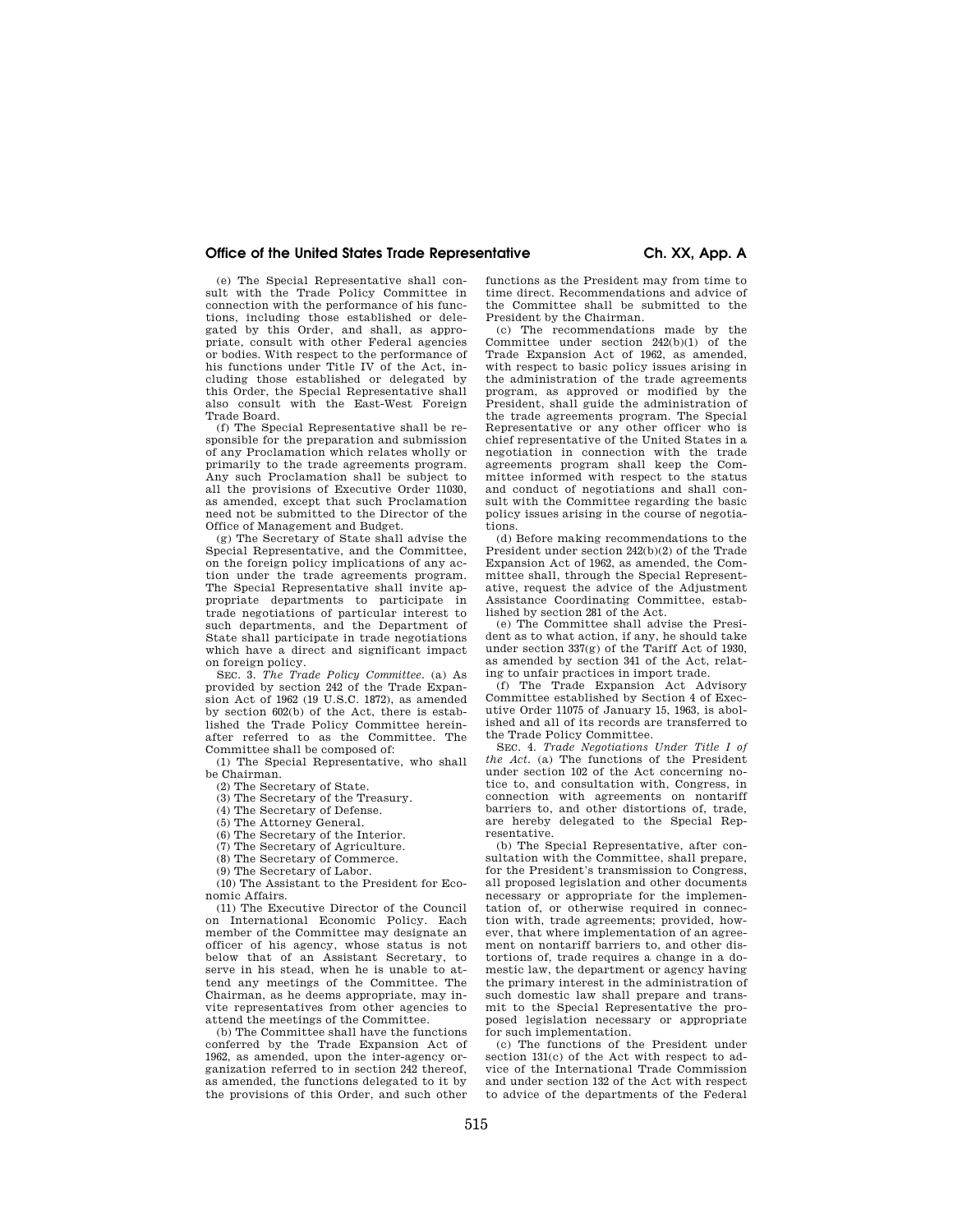## **Office of the United States Trade Representative Ch. XX, App. A**

(e) The Special Representative shall consult with the Trade Policy Committee in connection with the performance of his functions, including those established or delegated by this Order, and shall, as appropriate, consult with other Federal agencies or bodies. With respect to the performance of his functions under Title IV of the Act, including those established or delegated by this Order, the Special Representative shall also consult with the East-West Foreign Trade Board.

(f) The Special Representative shall be responsible for the preparation and submission of any Proclamation which relates wholly or primarily to the trade agreements program. Any such Proclamation shall be subject to all the provisions of Executive Order 11030, as amended, except that such Proclamation need not be submitted to the Director of the Office of Management and Budget.

(g) The Secretary of State shall advise the Special Representative, and the Committee, on the foreign policy implications of any action under the trade agreements program. The Special Representative shall invite appropriate departments to participate in trade negotiations of particular interest to such departments, and the Department of State shall participate in trade negotiations which have a direct and significant impact on foreign policy.

SEC. 3. *The Trade Policy Committee.* (a) As provided by section 242 of the Trade Expansion Act of 1962 (19 U.S.C. 1872), as amended by section 602(b) of the Act, there is established the Trade Policy Committee hereinafter referred to as the Committee. The Committee shall be composed of:

(1) The Special Representative, who shall be Chairman.

(2) The Secretary of State.

(3) The Secretary of the Treasury.

(4) The Secretary of Defense.

(5) The Attorney General.

(6) The Secretary of the Interior.

(7) The Secretary of Agriculture.

(8) The Secretary of Commerce.

(9) The Secretary of Labor.

(10) The Assistant to the President for Economic Affairs.

(11) The Executive Director of the Council on International Economic Policy. Each member of the Committee may designate an officer of his agency, whose status is not below that of an Assistant Secretary, to serve in his stead, when he is unable to attend any meetings of the Committee. The Chairman, as he deems appropriate, may invite representatives from other agencies to attend the meetings of the Committee.

(b) The Committee shall have the functions conferred by the Trade Expansion Act of 1962, as amended, upon the inter-agency organization referred to in section 242 thereof, as amended, the functions delegated to it by the provisions of this Order, and such other functions as the President may from time to time direct. Recommendations and advice of the Committee shall be submitted to the President by the Chairman.

(c) The recommendations made by the Committee under section 242(b)(1) of the Trade Expansion Act of 1962, as amended, with respect to basic policy issues arising in the administration of the trade agreements program, as approved or modified by the President, shall guide the administration of the trade agreements program. The Special Representative or any other officer who is chief representative of the United States in a negotiation in connection with the trade agreements program shall keep the Committee informed with respect to the status and conduct of negotiations and shall consult with the Committee regarding the basic policy issues arising in the course of negotiations.

(d) Before making recommendations to the President under section 242(b)(2) of the Trade Expansion Act of 1962, as amended, the Committee shall, through the Special Representative, request the advice of the Adjustment Assistance Coordinating Committee, established by section 281 of the Act.

(e) The Committee shall advise the President as to what action, if any, he should take under section 337(g) of the Tariff Act of 1930, as amended by section 341 of the Act, relating to unfair practices in import trade.

(f) The Trade Expansion Act Advisory Committee established by Section 4 of Executive Order 11075 of January 15, 1963, is abolished and all of its records are transferred to the Trade Policy Committee.

SEC. 4. *Trade Negotiations Under Title I of the Act.* (a) The functions of the President under section 102 of the Act concerning notice to, and consultation with, Congress, in connection with agreements on nontariff barriers to, and other distortions of, trade, are hereby delegated to the Special Representative.

(b) The Special Representative, after consultation with the Committee, shall prepare, for the President's transmission to Congress, all proposed legislation and other documents necessary or appropriate for the implementation of, or otherwise required in connection with, trade agreements; provided, however, that where implementation of an agreement on nontariff barriers to, and other distortions of, trade requires a change in a domestic law, the department or agency having the primary interest in the administration of such domestic law shall prepare and transmit to the Special Representative the proposed legislation necessary or appropriate for such implementation.

(c) The functions of the President under section 131(c) of the Act with respect to advice of the International Trade Commission and under section 132 of the Act with respect to advice of the departments of the Federal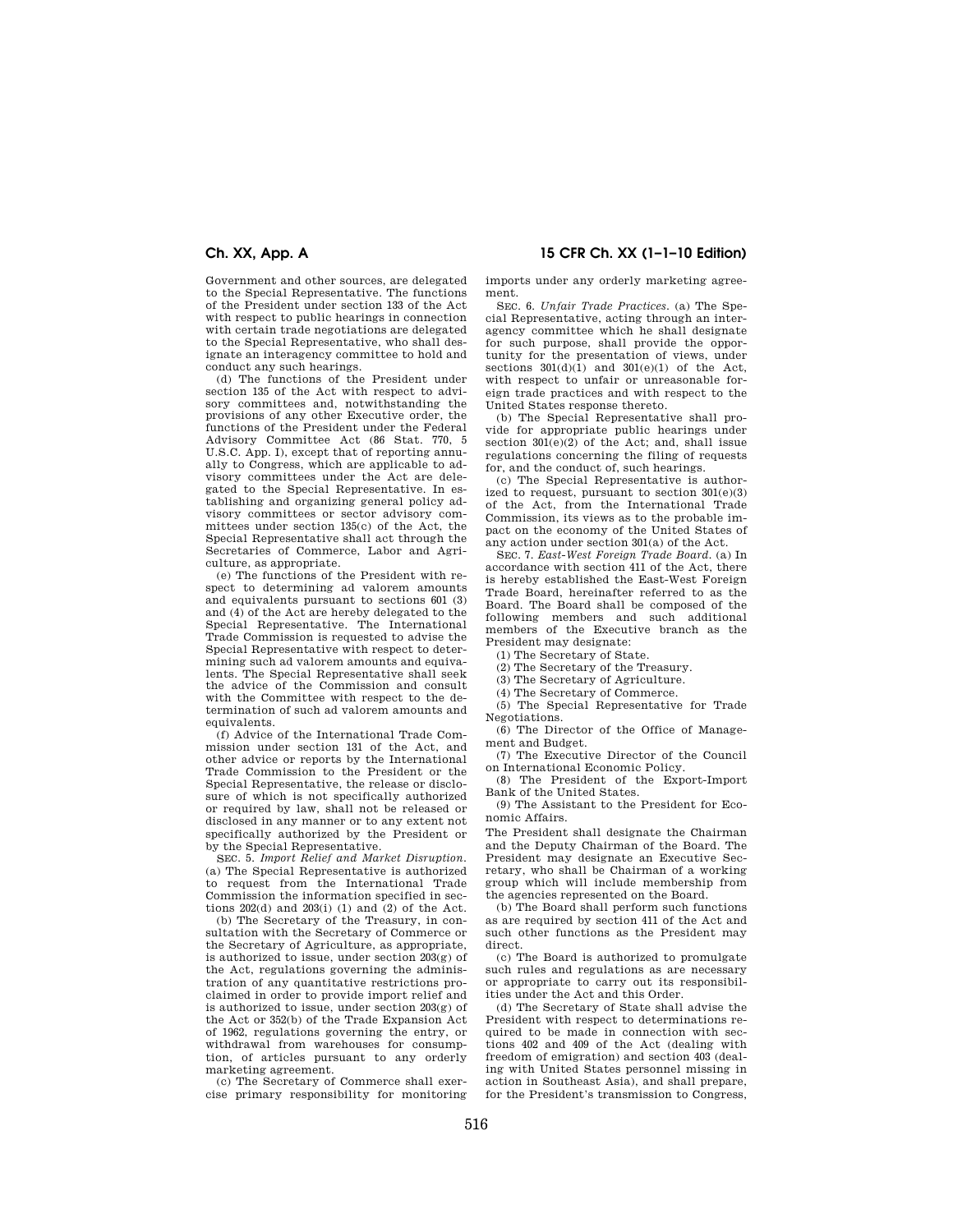Government and other sources, are delegated to the Special Representative. The functions of the President under section 133 of the Act with respect to public hearings in connection with certain trade negotiations are delegated to the Special Representative, who shall designate an interagency committee to hold and conduct any such hearings.

(d) The functions of the President under section 135 of the Act with respect to advisory committees and, notwithstanding the provisions of any other Executive order, the functions of the President under the Federal Advisory Committee Act (86 Stat. 770, 5 U.S.C. App. I), except that of reporting annually to Congress, which are applicable to advisory committees under the Act are delegated to the Special Representative. In establishing and organizing general policy advisory committees or sector advisory committees under section 135(c) of the Act, the Special Representative shall act through the Secretaries of Commerce, Labor and Agriculture, as appropriate.

(e) The functions of the President with respect to determining ad valorem amounts and equivalents pursuant to sections 601 (3) and (4) of the Act are hereby delegated to the Special Representative. The International Trade Commission is requested to advise the Special Representative with respect to determining such ad valorem amounts and equivalents. The Special Representative shall seek the advice of the Commission and consult with the Committee with respect to the determination of such ad valorem amounts and equivalents.

(f) Advice of the International Trade Commission under section 131 of the Act, and other advice or reports by the International Trade Commission to the President or the Special Representative, the release or disclosure of which is not specifically authorized or required by law, shall not be released or disclosed in any manner or to any extent not specifically authorized by the President or by the Special Representative.

SEC. 5. *Import Relief and Market Disruption.*  (a) The Special Representative is authorized to request from the International Trade Commission the information specified in sections  $202(d)$  and  $203(i)$  (1) and (2) of the Act.

(b) The Secretary of the Treasury, in consultation with the Secretary of Commerce or the Secretary of Agriculture, as appropriate, is authorized to issue, under section 203(g) of the Act, regulations governing the administration of any quantitative restrictions proclaimed in order to provide import relief and is authorized to issue, under section  $203(g)$  of the Act or 352(b) of the Trade Expansion Act of 1962, regulations governing the entry, or withdrawal from warehouses for consumption, of articles pursuant to any orderly marketing agreement.

(c) The Secretary of Commerce shall exercise primary responsibility for monitoring

# **Ch. XX, App. A 15 CFR Ch. XX (1–1–10 Edition)**

imports under any orderly marketing agreement.

SEC. 6. *Unfair Trade Practices.* (a) The Special Representative, acting through an interagency committee which he shall designate for such purpose, shall provide the opportunity for the presentation of views, under sections  $301(d)(1)$  and  $301(e)(1)$  of the Act, with respect to unfair or unreasonable foreign trade practices and with respect to the United States response thereto.

(b) The Special Representative shall provide for appropriate public hearings under section  $301(e)(2)$  of the Act; and, shall issue regulations concerning the filing of requests for, and the conduct of, such hearings.

(c) The Special Representative is authorized to request, pursuant to section 301(e)(3) of the Act, from the International Trade Commission, its views as to the probable impact on the economy of the United States of any action under section 301(a) of the Act.

SEC. 7. *East-West Foreign Trade Board.* (a) In accordance with section 411 of the Act, there is hereby established the East-West Foreign Trade Board, hereinafter referred to as the Board. The Board shall be composed of the following members and such additional members of the Executive branch as the President may designate:

- (1) The Secretary of State.
- (2) The Secretary of the Treasury.
- (3) The Secretary of Agriculture.
- (4) The Secretary of Commerce.
- (5) The Special Representative for Trade Negotiations.

(6) The Director of the Office of Management and Budget.

(7) The Executive Director of the Council on International Economic Policy.

(8) The President of the Export-Import Bank of the United States.

(9) The Assistant to the President for Economic Affairs.

The President shall designate the Chairman and the Deputy Chairman of the Board. The President may designate an Executive Secretary, who shall be Chairman of a working group which will include membership from the agencies represented on the Board.

(b) The Board shall perform such functions as are required by section 411 of the Act and such other functions as the President may direct.

(c) The Board is authorized to promulgate such rules and regulations as are necessary or appropriate to carry out its responsibilities under the Act and this Order.

(d) The Secretary of State shall advise the President with respect to determinations required to be made in connection with sections 402 and 409 of the Act (dealing with freedom of emigration) and section 403 (dealing with United States personnel missing in action in Southeast Asia), and shall prepare, for the President's transmission to Congress,